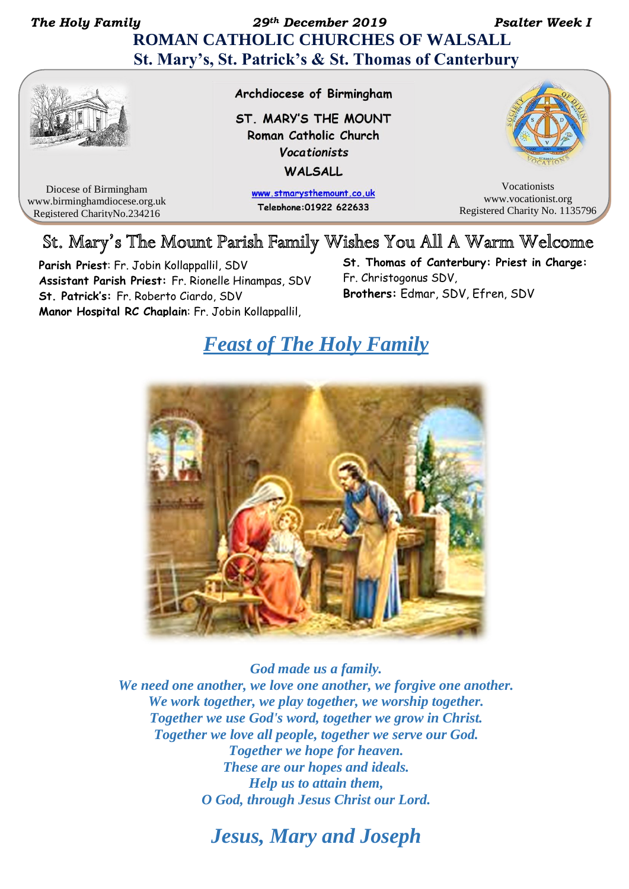*The Holy Family 29th December 2019 Psalter Week I*  **ROMAN CATHOLIC CHURCHES OF WALSALL St. Mary's, St. Patrick's & St. Thomas of Canterbury**



Archdiocese of Birmingham

ST. MARY'S THE MOUNT Roman Catholic Church **Vocationists WALSALL** 

Diocese of Birmingham www.birminghamdiocese.org.uk Registered CharityNo.234216

www.stmarysthemount.co.uk Telephone: 01922 622633

Vocationists www.vocationist.org Registered Charity No. 1135796

# St. Mary's The Mount Parish Family Wishes You All A Warm Welcome

**Parish Priest**: Fr. Jobin Kollappallil, SDV **Assistant Parish Priest:** Fr. Rionelle Hinampas, SDV **St. Patrick's:** Fr. Roberto Ciardo, SDV **Manor Hospital RC Chaplain**: Fr. Jobin Kollappallil,

**St. Thomas of Canterbury: Priest in Charge:**  Fr. Christogonus SDV, **Brothers:** Edmar, SDV, Efren, SDV

# *Feast of The Holy Family*



*God made us a family.*

*We need one another, we love one another, we forgive one another. We work together, we play together, we worship together. Together we use God's word, together we grow in Christ. Together we love all people, together we serve our God. Together we hope for heaven. These are our hopes and ideals. Help us to attain them, O God, through Jesus Christ our Lord.*

*Jesus, Mary and Joseph*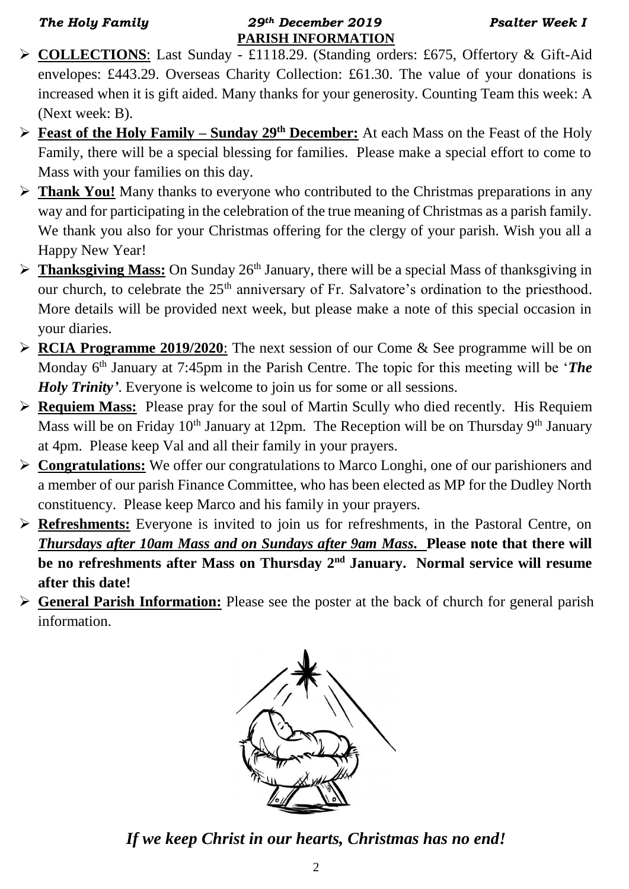# *The Holy Family 29th December 2019 Psalter Week I* **PARISH INFORMATION**

- ➢ **COLLECTIONS**: Last Sunday £1118.29. (Standing orders: £675, Offertory & Gift-Aid envelopes: £443.29. Overseas Charity Collection: £61.30. The value of your donations is increased when it is gift aided. Many thanks for your generosity. Counting Team this week: A (Next week: B).
- ➢ **Feast of the Holy Family – Sunday 29th December:** At each Mass on the Feast of the Holy Family, there will be a special blessing for families. Please make a special effort to come to Mass with your families on this day.
- ➢ **Thank You!** Many thanks to everyone who contributed to the Christmas preparations in any way and for participating in the celebration of the true meaning of Christmas as a parish family. We thank you also for your Christmas offering for the clergy of your parish. Wish you all a Happy New Year!
- ➢ **Thanksgiving Mass:** On Sunday 26th January, there will be a special Mass of thanksgiving in our church, to celebrate the 25<sup>th</sup> anniversary of Fr. Salvatore's ordination to the priesthood. More details will be provided next week, but please make a note of this special occasion in your diaries.
- ➢ **RCIA Programme 2019/2020**: The next session of our Come & See programme will be on Monday 6<sup>th</sup> January at 7:45pm in the Parish Centre. The topic for this meeting will be '*The Holy Trinity'*. Everyone is welcome to join us for some or all sessions.
- ➢ **Requiem Mass:** Please pray for the soul of Martin Scully who died recently. His Requiem Mass will be on Friday  $10^{th}$  January at 12pm. The Reception will be on Thursday 9<sup>th</sup> January at 4pm. Please keep Val and all their family in your prayers.
- ➢ **Congratulations:** We offer our congratulations to Marco Longhi, one of our parishioners and a member of our parish Finance Committee, who has been elected as MP for the Dudley North constituency. Please keep Marco and his family in your prayers.
- ➢ **Refreshments:** Everyone is invited to join us for refreshments, in the Pastoral Centre, on *Thursdays after 10am Mass and on Sundays after 9am Mass.* **Please note that there will be no refreshments after Mass on Thursday 2 nd January. Normal service will resume after this date!**
- ➢ **General Parish Information:** Please see the poster at the back of church for general parish information.



*If we keep Christ in our hearts, Christmas has no end!*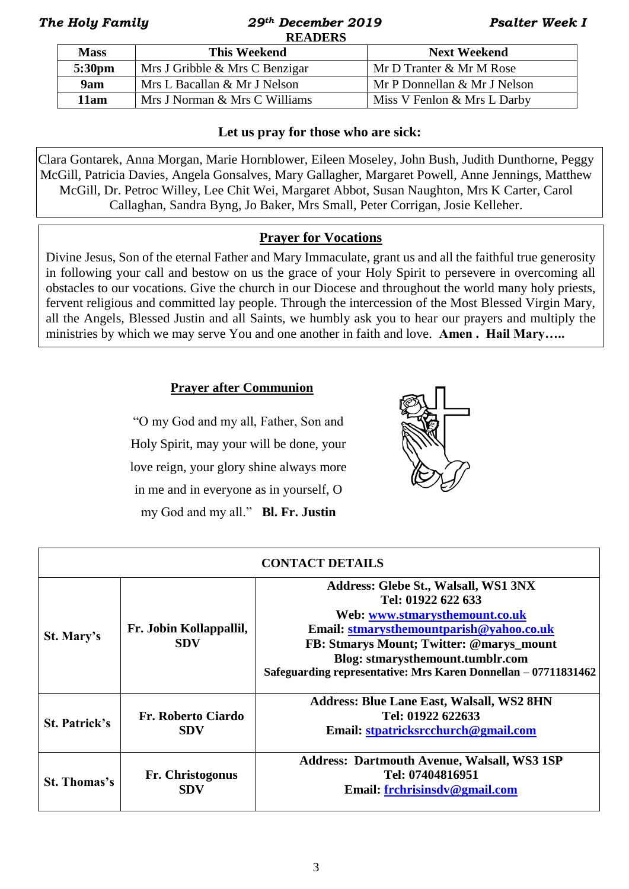### *The Holy Family 29th December 2019 Psalter Week I* **READERS**

| и <i>ран и</i> м |                                     |                              |  |  |  |
|------------------|-------------------------------------|------------------------------|--|--|--|
| <b>Mass</b>      | <b>Next Weekend</b><br>This Weekend |                              |  |  |  |
| 5:30pm           | Mrs J Gribble & Mrs C Benzigar      | Mr D Tranter & Mr M Rose     |  |  |  |
| 9am              | Mrs L Bacallan & Mr J Nelson        | Mr P Donnellan & Mr J Nelson |  |  |  |
| 11am             | Mrs J Norman & Mrs C Williams       | Miss V Fenlon & Mrs L Darby  |  |  |  |

## **Let us pray for those who are sick:**

Clara Gontarek, Anna Morgan, Marie Hornblower, Eileen Moseley, John Bush, Judith Dunthorne, Peggy McGill, Patricia Davies, Angela Gonsalves, Mary Gallagher, Margaret Powell, Anne Jennings, Matthew McGill, Dr. Petroc Willey, Lee Chit Wei, Margaret Abbot, Susan Naughton, Mrs K Carter, Carol Callaghan, Sandra Byng, Jo Baker, Mrs Small, Peter Corrigan, Josie Kelleher.

## **Prayer for Vocations**

Divine Jesus, Son of the eternal Father and Mary Immaculate, grant us and all the faithful true generosity in following your call and bestow on us the grace of your Holy Spirit to persevere in overcoming all obstacles to our vocations. Give the church in our Diocese and throughout the world many holy priests, fervent religious and committed lay people. Through the intercession of the Most Blessed Virgin Mary, all the Angels, Blessed Justin and all Saints, we humbly ask you to hear our prayers and multiply the ministries by which we may serve You and one another in faith and love. **Amen . Hail Mary…..**

# **Prayer after Communion**

"O my God and my all, Father, Son and Holy Spirit, may your will be done, your love reign, your glory shine always more in me and in everyone as in yourself, O my God and my all." **Bl. Fr. Justin** 



| <b>CONTACT DETAILS</b> |                                       |                                                                                                                                                                                                                                                                                            |  |  |  |  |
|------------------------|---------------------------------------|--------------------------------------------------------------------------------------------------------------------------------------------------------------------------------------------------------------------------------------------------------------------------------------------|--|--|--|--|
| St. Mary's             | Fr. Jobin Kollappallil,<br><b>SDV</b> | Address: Glebe St., Walsall, WS1 3NX<br>Tel: 01922 622 633<br>Web: www.stmarysthemount.co.uk<br>Email: stmarysthemountparish@yahoo.co.uk<br>FB: Stmarys Mount; Twitter: @marys_mount<br>Blog: stmarysthemount.tumblr.com<br>Safeguarding representative: Mrs Karen Donnellan – 07711831462 |  |  |  |  |
| <b>St. Patrick's</b>   | Fr. Roberto Ciardo<br><b>SDV</b>      | <b>Address: Blue Lane East, Walsall, WS2 8HN</b><br>Tel: 01922 622633<br>Email: stpatricksrcchurch@gmail.com                                                                                                                                                                               |  |  |  |  |
| <b>St. Thomas's</b>    | Fr. Christogonus<br><b>SDV</b>        | <b>Address: Dartmouth Avenue, Walsall, WS3 1SP</b><br>Tel: 07404816951<br>Email: frchrisinsdv@gmail.com                                                                                                                                                                                    |  |  |  |  |